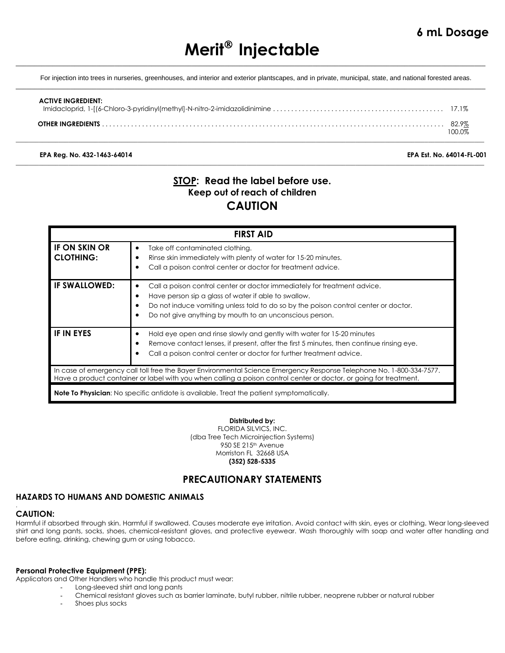# **Merit Injectable**  $\_$  ,  $\_$  ,  $\_$  ,  $\_$  ,  $\_$  ,  $\_$  ,  $\_$  ,  $\_$  ,  $\_$  ,  $\_$  ,  $\_$  ,  $\_$  ,  $\_$  ,  $\_$  ,  $\_$  ,  $\_$  ,  $\_$  ,  $\_$  ,  $\_$  ,  $\_$  ,  $\_$  ,  $\_$  ,  $\_$  ,  $\_$  ,  $\_$  ,  $\_$  ,  $\_$  ,  $\_$  ,  $\_$  ,  $\_$  ,  $\_$  ,  $\_$  ,  $\_$  ,  $\_$  ,  $\_$  ,  $\_$  ,  $\_$  ,

For injection into trees in nurseries, greenhouses, and interior and exterior plantscapes, and in private, municipal, state, and national forested areas.  $\_$  ,  $\_$  ,  $\_$  ,  $\_$  ,  $\_$  ,  $\_$  ,  $\_$  ,  $\_$  ,  $\_$  ,  $\_$  ,  $\_$  ,  $\_$  ,  $\_$  ,  $\_$  ,  $\_$  ,  $\_$  ,  $\_$  ,  $\_$  ,  $\_$  ,  $\_$  ,  $\_$  ,  $\_$  ,  $\_$  ,  $\_$  ,  $\_$  ,  $\_$  ,  $\_$  ,  $\_$  ,  $\_$  ,  $\_$  ,  $\_$  ,  $\_$  ,  $\_$  ,  $\_$  ,  $\_$  ,  $\_$  ,  $\_$  ,

| <b>ACTIVE INGREDIENT:</b> |  |
|---------------------------|--|
| OTHER INGREDIENTS         |  |

\_\_\_\_\_\_\_\_\_\_\_\_\_\_\_\_\_\_\_\_\_\_\_\_\_\_\_\_\_\_\_\_\_\_\_\_\_\_\_\_\_\_\_\_\_\_\_\_\_\_\_\_\_\_\_\_\_\_\_\_\_\_\_\_\_\_\_\_\_\_\_\_\_\_\_\_\_\_\_\_\_\_\_\_\_\_\_\_\_\_\_\_\_\_\_\_\_\_\_\_\_\_\_\_\_\_\_\_\_\_\_\_\_\_\_\_\_\_\_\_\_\_\_\_\_\_\_\_\_\_\_\_\_\_\_\_\_\_\_\_\_\_

\_\_\_\_\_\_\_\_\_\_\_\_\_\_\_\_\_\_\_\_\_\_\_\_\_\_\_\_\_\_\_\_\_\_\_\_\_\_\_\_\_\_\_\_\_\_\_\_\_\_\_\_\_\_\_\_\_\_\_\_\_\_\_\_\_\_\_\_\_\_\_\_\_\_\_\_\_\_\_\_\_\_\_\_\_\_\_\_\_\_\_\_\_\_\_\_\_\_\_\_\_\_\_\_\_\_\_\_\_\_\_\_\_\_\_\_\_\_\_\_\_\_\_\_\_\_\_\_\_\_\_\_\_\_\_\_\_\_\_\_\_\_

**EPA Reg. No. 432-1463-64014 EPA Est. No. 64014-FL-001**

# **STOP: Read the label before use. Keep out of reach of children CAUTION**

| <b>FIRST AID</b>                                                                                                                                                                                                                           |                                                                                                                                                                                                                                                                                                              |  |
|--------------------------------------------------------------------------------------------------------------------------------------------------------------------------------------------------------------------------------------------|--------------------------------------------------------------------------------------------------------------------------------------------------------------------------------------------------------------------------------------------------------------------------------------------------------------|--|
| <b>IF ON SKIN OR</b><br><b>CLOTHING:</b>                                                                                                                                                                                                   | Take off contaminated clothing.<br>٠<br>Rinse skin immediately with plenty of water for 15-20 minutes.<br>Call a poison control center or doctor for treatment advice.<br>٠                                                                                                                                  |  |
| <b>IF SWALLOWED:</b>                                                                                                                                                                                                                       | Call a poison control center or doctor immediately for treatment advice.<br>Have person sip a glass of water if able to swallow.<br>$\bullet$<br>Do not induce vomiting unless told to do so by the poison control center or doctor.<br>Do not give anything by mouth to an unconscious person.<br>$\bullet$ |  |
| IF IN EYES                                                                                                                                                                                                                                 | Hold eye open and rinse slowly and gently with water for 15-20 minutes<br>٠<br>Remove contact lenses, if present, after the first 5 minutes, then continue rinsing eye.<br>$\bullet$<br>Call a poison control center or doctor for further treatment advice.                                                 |  |
| In case of emergency call toll free the Bayer Environmental Science Emergency Response Telephone No. 1-800-334-7577.<br>Have a product container or label with you when calling a poison control center or doctor, or going for treatment. |                                                                                                                                                                                                                                                                                                              |  |
| <b>Note To Physician:</b> No specific antidote is available. Treat the patient symptomatically.                                                                                                                                            |                                                                                                                                                                                                                                                                                                              |  |

### **Distributed by:**

FLORIDA SILVICS, INC. (dba Tree Tech Microinjection Systems) 950 SE 215<sup>th</sup> Avenue Morriston FL 32668 USA **(352) 528-5335**

## **PRECAUTIONARY STATEMENTS**

## **HAZARDS TO HUMANS AND DOMESTIC ANIMALS**

### **CAUTION:**

.

Harmful if absorbed through skin. Harmful if swallowed. Causes moderate eye irritation. Avoid contact with skin, eyes or clothing. Wear long-sleeved shirt and long pants, socks, shoes, chemical-resistant gloves, and protective eyewear. Wash thoroughly with soap and water after handling and before eating, drinking, chewing gum or using tobacco.

### **Personal Protective Equipment (PPE):**

Applicators and Other Handlers who handle this product must wear:

- Long-sleeved shirt and long pants
- Chemical resistant gloves such as barrier laminate, butyl rubber, nitrile rubber, neoprene rubber or natural rubber
- Shoes plus socks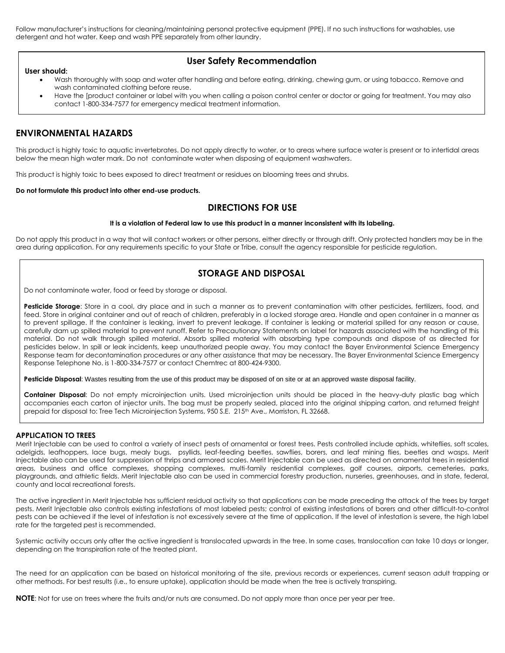Follow manufacturer's instructions for cleaning/maintaining personal protective equipment (PPE). If no such instructions for washables, use detergent and hot water. Keep and wash PPE separately from other laundry.

### **User Safety Recommendation**

- **User should:**
	- Wash thoroughly with soap and water after handling and before eating, drinking, chewing gum, or using tobacco. Remove and wash contaminated clothing before reuse.
	- Have the [product container or label with you when calling a poison control center or doctor or going for treatment. You may also contact 1-800-334-7577 for emergency medical treatment information.

## **ENVIRONMENTAL HAZARDS**

This product is highly toxic to aquatic invertebrates. Do not apply directly to water, or to areas where surface water is present or to intertidal areas below the mean high water mark. Do not contaminate water when disposing of equipment washwaters.

This product is highly toxic to bees exposed to direct treatment or residues on blooming trees and shrubs.

#### **Do not formulate this product into other end-use products.**

### **DIRECTIONS FOR USE**

#### **It is a violation of Federal law to use this product in a manner inconsistent with its labeling.**

Do not apply this product in a way that will contact workers or other persons, either directly or through drift. Only protected handlers may be in the area during application. For any requirements specific to your State or Tribe, consult the agency responsible for pesticide regulation.

## **STORAGE AND DISPOSAL**

Do not contaminate water, food or feed by storage or disposal.

**Pesticide Storage**: Store in a cool, dry place and in such a manner as to prevent contamination with other pesticides, fertilizers, food, and feed. Store in original container and out of reach of children, preferably in a locked storage area. Handle and open container in a manner as to prevent spillage. If the container is leaking, invert to prevent leakage. If container is leaking or material spilled for any reason or cause, carefully dam up spilled material to prevent runoff. Refer to Precautionary Statements on label for hazards associated with the handling of this material. Do not walk through spilled material. Absorb spilled material with absorbing type compounds and dispose of as directed for pesticides below. In spill or leak incidents, keep unauthorized people away. You may contact the Bayer Environmental Science Emergency Response team for decontamination procedures or any other assistance that may be necessary. The Bayer Environmental Science Emergency Response Telephone No. is 1-800-334-7577 or contact Chemtrec at 800-424-9300.

**Pesticide Disposal**: Wastes resulting from the use of this product may be disposed of on site or at an approved waste disposal facility.

**Container Disposal**: Do not empty microinjection units. Used microinjection units should be placed in the heavy-duty plastic bag which accompanies each carton of injector units. The bag must be properly sealed, placed into the original shipping carton, and returned freight prepaid for disposal to: Tree Tech Microinjection Systems, 950 S.E. 215<sup>th</sup> Ave., Morriston, FL 32668.

#### **APPLICATION TO TREES**

Merit Injectable can be used to control a variety of insect pests of ornamental or forest trees. Pests controlled include aphids, whiteflies, soft scales, adelgids, leafhoppers, lace bugs, mealy bugs, psyllids, leaf-feeding beetles, sawflies, borers, and leaf mining flies, beetles and wasps. Merit Injectable also can be used for suppression of thrips and armored scales. Merit Injectable can be used as directed on ornamental trees in residential areas, business and office complexes, shopping complexes, multi-family residential complexes, golf courses, airports, cemeteries, parks, playgrounds, and athletic fields. Merit Injectable also can be used in commercial forestry production, nurseries, greenhouses, and in state, federal, county and local recreational forests.

The active ingredient in Merit Injectable has sufficient residual activity so that applications can be made preceding the attack of the trees by target pests. Merit Injectable also controls existing infestations of most labeled pests; control of existing infestations of borers and other difficult-to-control pests can be achieved if the level of infestation is not excessively severe at the time of application. If the level of infestation is severe, the high label rate for the targeted pest is recommended.

Systemic activity occurs only after the active ingredient is translocated upwards in the tree. In some cases, translocation can take 10 days or longer, depending on the transpiration rate of the treated plant.

The need for an application can be based on historical monitoring of the site, previous records or experiences, current season adult trapping or other methods. For best results (i.e., to ensure uptake), application should be made when the tree is actively transpiring.

**NOTE**: Not for use on trees where the fruits and/or nuts are consumed. Do not apply more than once per year per tree.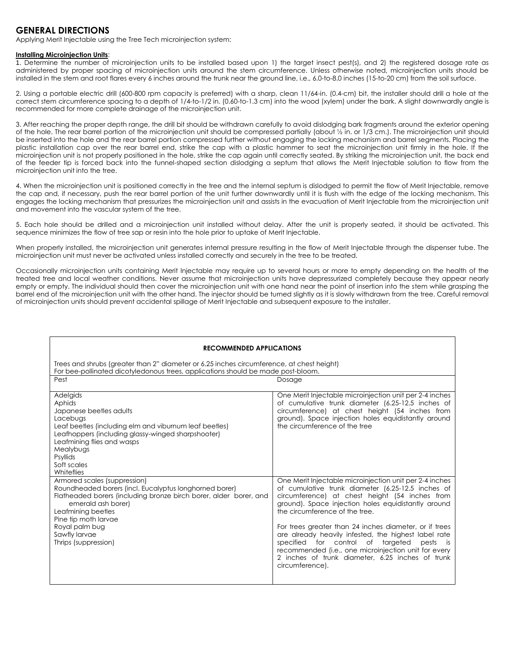## **GENERAL DIRECTIONS**

Applying Merit Injectable using the Tree Tech microinjection system:

#### **Installing Microinjection Units**:

1. Determine the number of microinjection units to be installed based upon 1) the target insect pest(s), and 2) the registered dosage rate as administered by proper spacing of microinjection units around the stem circumference. Unless otherwise noted, microinjection units should be installed in the stem and root flares every 6 inches around the trunk near the ground line, i.e., 6.0-to-8.0 inches (15-to-20 cm) from the soil surface.

2. Using a portable electric drill (600-800 rpm capacity is preferred) with a sharp, clean 11/64-in. (0.4-cm) bit, the installer should drill a hole at the correct stem circumference spacing to a depth of 1/4-to-1/2 in. (0.60-to-1.3 cm) into the wood (xylem) under the bark. A slight downwardly angle is recommended for more complete drainage of the microinjection unit.

3. After reaching the proper depth range, the drill bit should be withdrawn carefully to avoid dislodging bark fragments around the exterior opening of the hole. The rear barrel portion of the microinjection unit should be compressed partially (about ½ in. or 1/3 cm.). The microinjection unit should be inserted into the hole and the rear barrel portion compressed further without engaging the locking mechanism and barrel segments. Placing the plastic installation cap over the rear barrel end, strike the cap with a plastic hammer to seat the microinjection unit firmly in the hole. If the microinjection unit is not properly positioned in the hole, strike the cap again until correctly seated. By striking the microinjection unit, the back end of the feeder tip is forced back into the funnel-shaped section dislodging a septum that allows the Merit Injectable solution to flow from the microinjection unit into the tree.

4. When the microinjection unit is positioned correctly in the tree and the internal septum is dislodged to permit the flow of Merit Injectable, remove the cap and, if necessary, push the rear barrel portion of the unit further downwardly until it is flush with the edge of the locking mechanism. This engages the locking mechanism that pressurizes the microinjection unit and assists in the evacuation of Merit Injectable from the microinjection unit and movement into the vascular system of the tree.

5. Each hole should be drilled and a microinjection unit installed without delay. After the unit is properly seated, it should be activated. This sequence minimizes the flow of tree sap or resin into the hole prior to uptake of Merit Injectable.

When properly installed, the microinjection unit generates internal pressure resulting in the flow of Merit Injectable through the dispenser tube. The microinjection unit must never be activated unless installed correctly and securely in the tree to be treated.

Occasionally microinjection units containing Merit Injectable may require up to several hours or more to empty depending on the health of the treated tree and local weather conditions. Never assume that microinjection units have depressurized completely because they appear nearly empty or empty. The individual should then cover the microinjection unit with one hand near the point of insertion into the stem while grasping the barrel end of the microinjection unit with the other hand. The injector should be turned slightly as it is slowly withdrawn from the tree. Careful removal of microinjection units should prevent accidental spillage of Merit Injectable and subsequent exposure to the installer.

| <b>RECOMMENDED APPLICATIONS</b>                                                                                                                                                                                                                                                            |                                                                                                                                                                                                                                                                                                                                                                                                                                                                                                                                                                 |  |  |
|--------------------------------------------------------------------------------------------------------------------------------------------------------------------------------------------------------------------------------------------------------------------------------------------|-----------------------------------------------------------------------------------------------------------------------------------------------------------------------------------------------------------------------------------------------------------------------------------------------------------------------------------------------------------------------------------------------------------------------------------------------------------------------------------------------------------------------------------------------------------------|--|--|
| Trees and shrubs (greater than 2" diameter or 6.25 inches circumference, at chest height)<br>For bee-pollinated dicotyledonous trees, applications should be made post-bloom.                                                                                                              |                                                                                                                                                                                                                                                                                                                                                                                                                                                                                                                                                                 |  |  |
| Pest                                                                                                                                                                                                                                                                                       | Dosage                                                                                                                                                                                                                                                                                                                                                                                                                                                                                                                                                          |  |  |
| Adelgids<br>Aphids<br>Japanese beetles adults<br>Lacebugs<br>Leaf beetles (including elm and viburnum leaf beetles)<br>Leafhoppers (including glassy-winged sharpshooter)<br>Leafmining flies and wasps<br>Mealybugs<br>Psyllids<br>Soft scales<br>Whiteflies                              | One Merit Injectable microinjection unit per 2-4 inches<br>of cumulative trunk diameter (6.25-12.5 inches of<br>circumference) at chest height (54 inches from<br>ground). Space injection holes equidistantly around<br>the circumference of the tree                                                                                                                                                                                                                                                                                                          |  |  |
| Armored scales (suppression)<br>Roundheaded borers (incl. Eucalyptus longhorned borer)<br>Flatheaded borers (including bronze birch borer, alder borer, and<br>emerald ash borer)<br>Leafmining beetles<br>Pine tip moth larvae<br>Royal palm bug<br>Sawfly larvae<br>Thrips (suppression) | One Merit Injectable microinjection unit per 2-4 inches<br>of cumulative trunk diameter (6.25-12.5 inches of<br>circumference) at chest height (54 inches from<br>ground). Space injection holes equidistantly around<br>the circumference of the tree.<br>For trees greater than 24 inches diameter, or if trees<br>are already heavily infested, the highest label rate<br>for control of targeted<br>specified<br>pests<br>is<br>recommended (i.e., one microinjection unit for every<br>2 inches of trunk diameter, 6.25 inches of trunk<br>circumference). |  |  |
|                                                                                                                                                                                                                                                                                            |                                                                                                                                                                                                                                                                                                                                                                                                                                                                                                                                                                 |  |  |